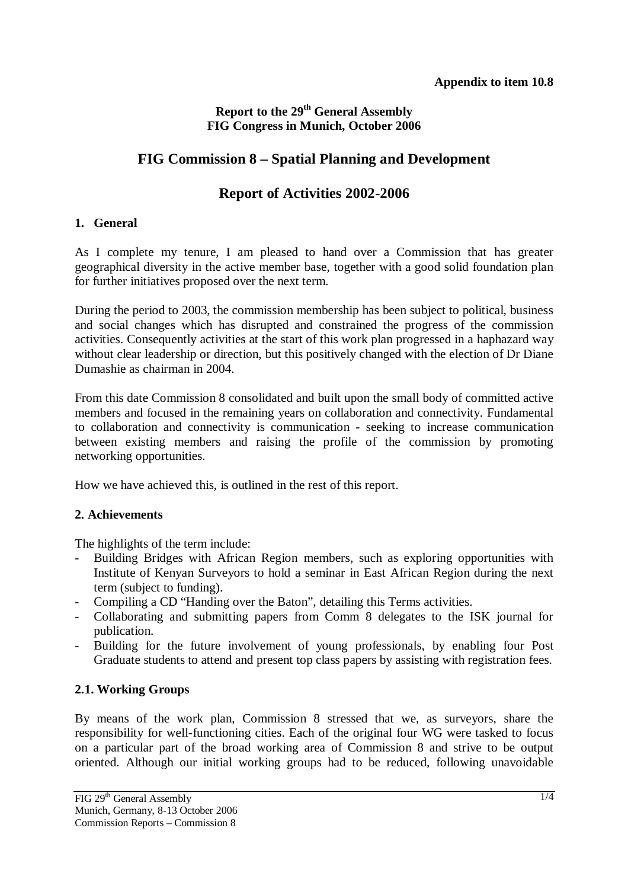### **Report to the 29th General Assembly FIG Congress in Munich, October 2006**

# **FIG Commission 8 – Spatial Planning and Development**

## **Report of Activities 2002-2006**

#### **1. General**

As I complete my tenure, I am pleased to hand over a Commission that has greater geographical diversity in the active member base, together with a good solid foundation plan for further initiatives proposed over the next term.

During the period to 2003, the commission membership has been subject to political, business and social changes which has disrupted and constrained the progress of the commission activities. Consequently activities at the start of this work plan progressed in a haphazard way without clear leadership or direction, but this positively changed with the election of Dr Diane Dumashie as chairman in 2004.

From this date Commission 8 consolidated and built upon the small body of committed active members and focused in the remaining years on collaboration and connectivity. Fundamental to collaboration and connectivity is communication - seeking to increase communication between existing members and raising the profile of the commission by promoting networking opportunities.

How we have achieved this, is outlined in the rest of this report.

### **2. Achievements**

The highlights of the term include:

- Building Bridges with African Region members, such as exploring opportunities with Institute of Kenyan Surveyors to hold a seminar in East African Region during the next term (subject to funding).
- Compiling a CD "Handing over the Baton", detailing this Terms activities.
- Collaborating and submitting papers from Comm 8 delegates to the ISK journal for publication.
- Building for the future involvement of young professionals, by enabling four Post Graduate students to attend and present top class papers by assisting with registration fees.

## **2.1. Working Groups**

By means of the work plan, Commission 8 stressed that we, as surveyors, share the responsibility for well-functioning cities. Each of the original four WG were tasked to focus on a particular part of the broad working area of Commission 8 and strive to be output oriented. Although our initial working groups had to be reduced, following unavoidable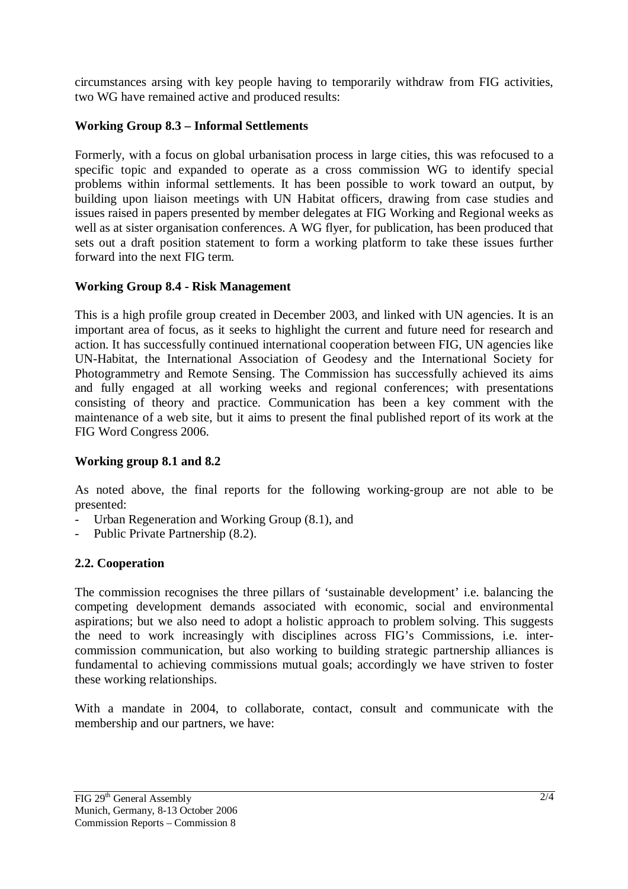circumstances arsing with key people having to temporarily withdraw from FIG activities, two WG have remained active and produced results:

### **Working Group 8.3 – Informal Settlements**

Formerly, with a focus on global urbanisation process in large cities, this was refocused to a specific topic and expanded to operate as a cross commission WG to identify special problems within informal settlements. It has been possible to work toward an output, by building upon liaison meetings with UN Habitat officers, drawing from case studies and issues raised in papers presented by member delegates at FIG Working and Regional weeks as well as at sister organisation conferences. A WG flyer, for publication, has been produced that sets out a draft position statement to form a working platform to take these issues further forward into the next FIG term.

### **Working Group 8.4 - Risk Management**

This is a high profile group created in December 2003, and linked with UN agencies. It is an important area of focus, as it seeks to highlight the current and future need for research and action. It has successfully continued international cooperation between FIG, UN agencies like UN-Habitat, the International Association of Geodesy and the International Society for Photogrammetry and Remote Sensing. The Commission has successfully achieved its aims and fully engaged at all working weeks and regional conferences; with presentations consisting of theory and practice. Communication has been a key comment with the maintenance of a web site, but it aims to present the final published report of its work at the FIG Word Congress 2006.

### **Working group 8.1 and 8.2**

As noted above, the final reports for the following working-group are not able to be presented:

- Urban Regeneration and Working Group  $(8.1)$ , and
- Public Private Partnership (8.2).

## **2.2. Cooperation**

The commission recognises the three pillars of 'sustainable development' i.e. balancing the competing development demands associated with economic, social and environmental aspirations; but we also need to adopt a holistic approach to problem solving. This suggests the need to work increasingly with disciplines across FIG's Commissions, i.e. intercommission communication, but also working to building strategic partnership alliances is fundamental to achieving commissions mutual goals; accordingly we have striven to foster these working relationships.

With a mandate in 2004, to collaborate, contact, consult and communicate with the membership and our partners, we have: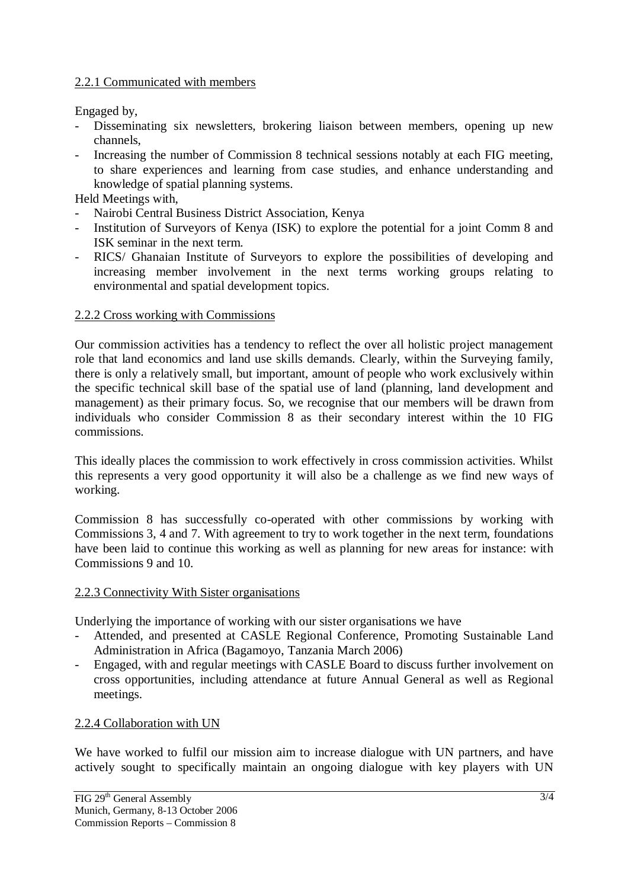#### 2.2.1 Communicated with members

Engaged by,

- Disseminating six newsletters, brokering liaison between members, opening up new channels,
- Increasing the number of Commission 8 technical sessions notably at each FIG meeting, to share experiences and learning from case studies, and enhance understanding and knowledge of spatial planning systems.

Held Meetings with,

- Nairobi Central Business District Association, Kenya
- Institution of Surveyors of Kenya (ISK) to explore the potential for a joint Comm 8 and ISK seminar in the next term.
- RICS/ Ghanaian Institute of Surveyors to explore the possibilities of developing and increasing member involvement in the next terms working groups relating to environmental and spatial development topics.

#### 2.2.2 Cross working with Commissions

Our commission activities has a tendency to reflect the over all holistic project management role that land economics and land use skills demands. Clearly, within the Surveying family, there is only a relatively small, but important, amount of people who work exclusively within the specific technical skill base of the spatial use of land (planning, land development and management) as their primary focus. So, we recognise that our members will be drawn from individuals who consider Commission 8 as their secondary interest within the 10 FIG commissions.

This ideally places the commission to work effectively in cross commission activities. Whilst this represents a very good opportunity it will also be a challenge as we find new ways of working.

Commission 8 has successfully co-operated with other commissions by working with Commissions 3, 4 and 7. With agreement to try to work together in the next term, foundations have been laid to continue this working as well as planning for new areas for instance: with Commissions 9 and 10.

#### 2.2.3 Connectivity With Sister organisations

Underlying the importance of working with our sister organisations we have

- Attended, and presented at CASLE Regional Conference, Promoting Sustainable Land Administration in Africa (Bagamoyo, Tanzania March 2006)
- Engaged, with and regular meetings with CASLE Board to discuss further involvement on cross opportunities, including attendance at future Annual General as well as Regional meetings.

#### 2.2.4 Collaboration with UN

We have worked to fulfil our mission aim to increase dialogue with UN partners, and have actively sought to specifically maintain an ongoing dialogue with key players with UN